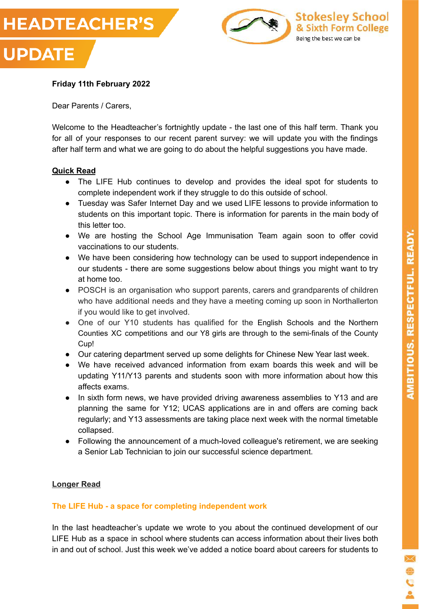



# **Friday 11th February 2022**

Dear Parents / Carers,

Welcome to the Headteacher's fortnightly update - the last one of this half term. Thank you for all of your responses to our recent parent survey: we will update you with the findings after half term and what we are going to do about the helpful suggestions you have made.

#### **Quick Read**

- The LIFE Hub continues to develop and provides the ideal spot for students to complete independent work if they struggle to do this outside of school.
- Tuesday was Safer Internet Day and we used LIFE lessons to provide information to students on this important topic. There is information for parents in the main body of this letter too.
- We are hosting the School Age Immunisation Team again soon to offer covid vaccinations to our students.
- We have been considering how technology can be used to support independence in our students - there are some suggestions below about things you might want to try at home too.
- POSCH is an organisation who support parents, carers and grandparents of children who have additional needs and they have a meeting coming up soon in Northallerton if you would like to get involved.
- One of our Y10 students has qualified for the English Schools and the Northern Counties XC competitions and our Y8 girls are through to the semi-finals of the County Cup!
- Our catering department served up some delights for Chinese New Year last week.
- We have received advanced information from exam boards this week and will be updating Y11/Y13 parents and students soon with more information about how this affects exams.
- In sixth form news, we have provided driving awareness assemblies to Y13 and are planning the same for Y12; UCAS applications are in and offers are coming back regularly; and Y13 assessments are taking place next week with the normal timetable collapsed.
- Following the announcement of a much-loved colleague's retirement, we are seeking a Senior Lab Technician to join our successful science department.

#### **Longer Read**

#### **The LIFE Hub - a space for completing independent work**

In the last headteacher's update we wrote to you about the continued development of our LIFE Hub as a space in school where students can access information about their lives both in and out of school. Just this week we've added a notice board about careers for students to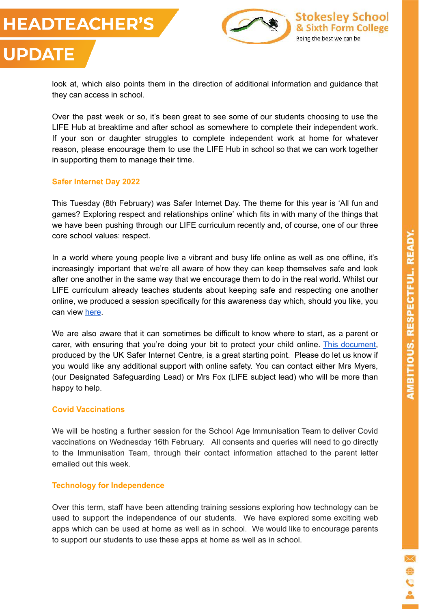# **HEADTEACHER'S**

**UPDATE** 



look at, which also points them in the direction of additional information and guidance that they can access in school.

Over the past week or so, it's been great to see some of our students choosing to use the LIFE Hub at breaktime and after school as somewhere to complete their independent work. If your son or daughter struggles to complete independent work at home for whatever reason, please encourage them to use the LIFE Hub in school so that we can work together in supporting them to manage their time.

#### **Safer Internet Day 2022**

This Tuesday (8th February) was Safer Internet Day. The theme for this year is 'All fun and games? Exploring respect and relationships online' which fits in with many of the things that we have been pushing through our LIFE curriculum recently and, of course, one of our three core school values: respect.

In a world where young people live a vibrant and busy life online as well as one offline, it's increasingly important that we're all aware of how they can keep themselves safe and look after one another in the same way that we encourage them to do in the real world. Whilst our LIFE curriculum already teaches students about keeping safe and respecting one another online, we produced a session specifically for this awareness day which, should you like, you can view [here.](https://drive.google.com/file/d/1nafRyT_QdqgsnREibw4gKTePYTmh2-54/view?usp=sharing)

We are also aware that it can sometimes be difficult to know where to start, as a parent or carer, with ensuring that you're doing your bit to protect your child online. [This document,](https://drive.google.com/file/d/1LaI1OYbI7g_ndnBpQ0jijSuyX2mMO9d3/view?usp=sharing) produced by the UK Safer Internet Centre, is a great starting point. Please do let us know if you would like any additional support with online safety. You can contact either Mrs Myers, (our Designated Safeguarding Lead) or Mrs Fox (LIFE subject lead) who will be more than happy to help.

#### **Covid Vaccinations**

We will be hosting a further session for the School Age Immunisation Team to deliver Covid vaccinations on Wednesday 16th February. All consents and queries will need to go directly to the Immunisation Team, through their contact information attached to the parent letter emailed out this week.

#### **Technology for Independence**

Over this term, staff have been attending training sessions exploring how technology can be used to support the independence of our students. We have explored some exciting web apps which can be used at home as well as in school. We would like to encourage parents to support our students to use these apps at home as well as in school.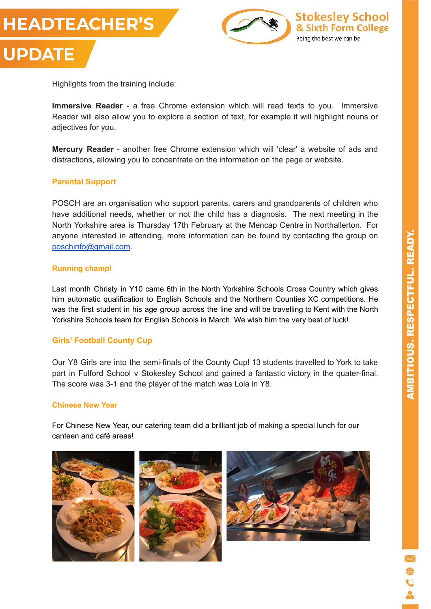



Highlights from the training include:

**Immersive Reader** - a free Chrome extension which will read texts to you. Immersive Reader will also allow you to explore a section of text, for example it will highlight nouns or adjectives for you.

**Mercury Reader** - another free Chrome extension which will 'clear' a website of ads and distractions, allowing you to concentrate on the information on the page or website.

#### **Parental Support**

POSCH are an organisation who support parents, carers and grandparents of children who have additional needs, whether or not the child has a diagnosis. The next meeting in the North Yorkshire area is Thursday 17th February at the Mencap Centre in Northallerton. For anyone interested in attending, more information can be found by contacting the group on [poschinfo@gmail.com](mailto:poschinfo@gmail.com).

#### **Running champ!**

Last month Christy in Y10 came 6th in the North Yorkshire Schools Cross Country which gives him automatic qualification to English Schools and the Northern Counties XC competitions. He was the first student in his age group across the line and will be travelling to Kent with the North Yorkshire Schools team for English Schools in March. We wish him the very best of luck!

#### **Girls' Football County Cup**

Our Y8 Girls are into the semi-finals of the County Cup! 13 students travelled to York to take part in Fulford School v Stokesley School and gained a fantastic victory in the quater-final. The score was 3-1 and the player of the match was Lola in Y8.

#### **Chinese New Year**

For Chinese New Year, our catering team did a brilliant job of making a special lunch for our canteen and café areas!



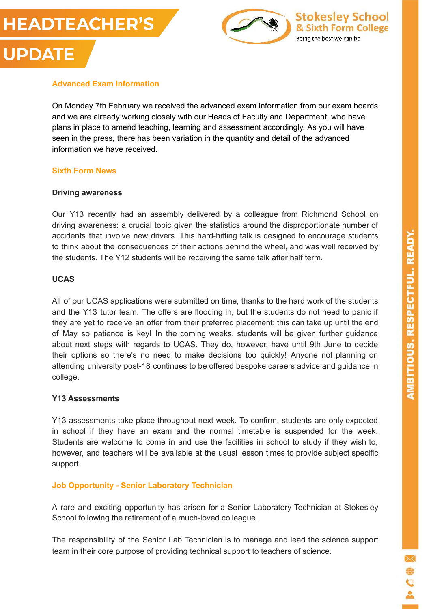# **HEADTEACHER'S UPDATE**



# **Advanced Exam Information**

On Monday 7th February we received the advanced exam information from our exam boards and we are already working closely with our Heads of Faculty and Department, who have plans in place to amend teaching, learning and assessment accordingly. As you will have seen in the press, there has been variation in the quantity and detail of the advanced information we have received.

#### **Sixth Form News**

#### **Driving awareness**

Our Y13 recently had an assembly delivered by a colleague from Richmond School on driving awareness: a crucial topic given the statistics around the disproportionate number of accidents that involve new drivers. This hard-hitting talk is designed to encourage students to think about the consequences of their actions behind the wheel, and was well received by the students. The Y12 students will be receiving the same talk after half term.

#### **UCAS**

All of our UCAS applications were submitted on time, thanks to the hard work of the students and the Y13 tutor team. The offers are flooding in, but the students do not need to panic if they are yet to receive an offer from their preferred placement; this can take up until the end of May so patience is key! In the coming weeks, students will be given further guidance about next steps with regards to UCAS. They do, however, have until 9th June to decide their options so there's no need to make decisions too quickly! Anyone not planning on attending university post-18 continues to be offered bespoke careers advice and guidance in college.

#### **Y13 Assessments**

Y13 assessments take place throughout next week. To confirm, students are only expected in school if they have an exam and the normal timetable is suspended for the week. Students are welcome to come in and use the facilities in school to study if they wish to, however, and teachers will be available at the usual lesson times to provide subject specific support.

## **Job Opportunity - Senior Laboratory Technician**

A rare and exciting opportunity has arisen for a Senior Laboratory Technician at Stokesley School following the retirement of a much-loved colleague.

The responsibility of the Senior Lab Technician is to manage and lead the science support team in their core purpose of providing technical support to teachers of science.